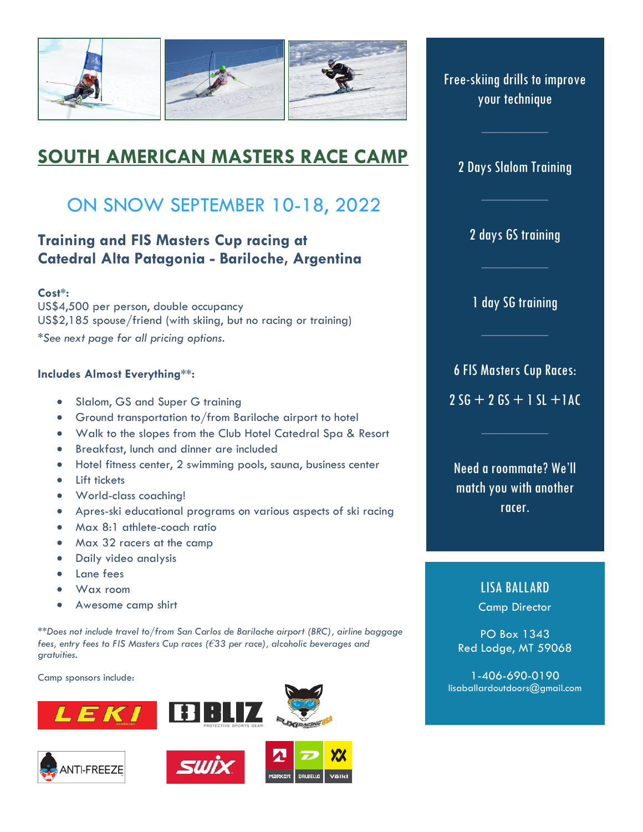

# **SOUTH AMERICAN MASTERS RACE CAMP**

# ON SNOW SEPTEMBER 10-18, 2022

# **Training and FIS Masters Cup racing at Catedral Alta Patagonia - Bariloche, Argentina**

### **Cost\*:**

US\$4,500 per person, double occupancy US\$2,185 spouse/friend (with skiing, but no racing or training)

*\*See next page for all pricing options.*

#### **Includes Almost Everything\*\*:**

- Slalom, GS and Super G training
- Ground transportation to/from Bariloche airport to hotel
- Walk to the slopes from the Club Hotel Catedral Spa & Resort
- Breakfast, lunch and dinner are included
- Hotel fitness center, 2 swimming pools, sauna, business center
- Lift tickets
- World-class coaching!
- Apres-ski educational programs on various aspects of ski racing
- Max 8:1 athlete-coach ratio
- Max 32 racers at the camp
- Daily video analysis
- Lane fees
- Wax room
- Awesome camp shirt

*\*\*Does not include travel to/from San Carlos de Bariloche airport (BRC), airline baggage fees, entry fees to FIS Masters Cup races (€33 per race), alcoholic beverages and gratuities.*

Camp sponsors include:









Free-skiing drills to improve your technique

## 2 Days Slalom Training

2 days GS training

1 day SG training

6 FIS Masters Cup Races:  $2 SG + 2 GS + 1 SL + 1 AC$ 

Need a roommate? We'll match you with another racer.

## LISA BALLARD

Camp Director

PO Box 1343 Red Lodge, MT 59068

1-406-690-0190 lisaballardoutdoors@gmail.com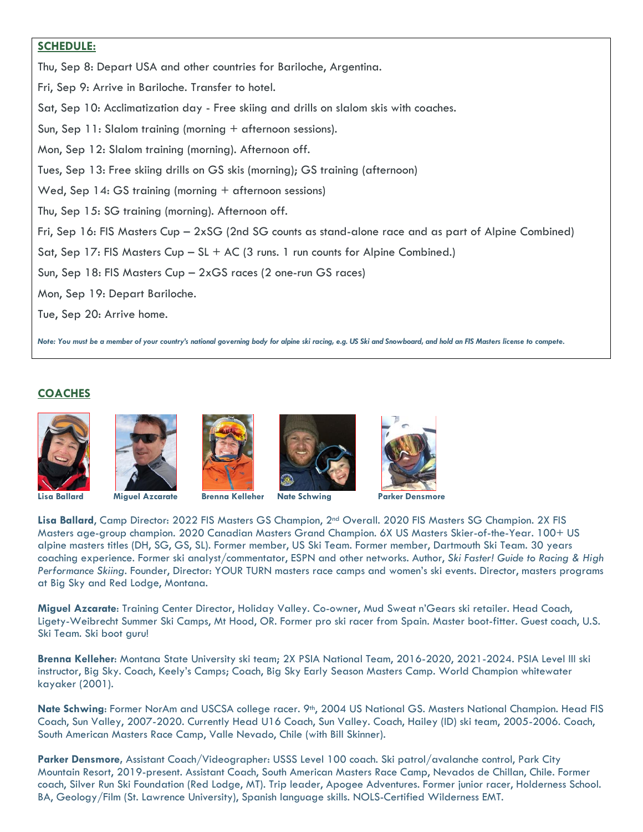## **SCHEDULE:**

Thu, Sep 8: Depart USA and other countries for Bariloche, Argentina.

Fri, Sep 9: Arrive in Bariloche. Transfer to hotel.

Sat, Sep 10: Acclimatization day - Free skiing and drills on slalom skis with coaches.

Sun, Sep 11: Slalom training (morning + afternoon sessions).

Mon, Sep 12: Slalom training (morning). Afternoon off.

Tues, Sep 13: Free skiing drills on GS skis (morning); GS training (afternoon)

Wed, Sep 14: GS training (morning + afternoon sessions)

Thu, Sep 15: SG training (morning). Afternoon off.

Fri, Sep 16: FIS Masters Cup – 2xSG (2nd SG counts as stand-alone race and as part of Alpine Combined)

Sat, Sep 17: FIS Masters Cup – SL + AC (3 runs. 1 run counts for Alpine Combined.)

Sun, Sep 18: FIS Masters Cup – 2xGS races (2 one-run GS races)

Mon, Sep 19: Depart Bariloche.

Tue, Sep 20: Arrive home.

*Note: You must be a member of your country's national governing body for alpine ski racing, e.g. US Ski and Snowboard, and hold an FIS Masters license to compete.*

## **COACHES**











**Lisa Ballard Miguel Azcarate Brenna Kelleher Nate Schwing Parker Densmore**

**Lisa Ballard**, Camp Director: 2022 FIS Masters GS Champion, 2nd Overall. 2020 FIS Masters SG Champion. 2X FIS Masters age-group champion. 2020 Canadian Masters Grand Champion. 6X US Masters Skier-of-the-Year. 100+ US alpine masters titles (DH, SG, GS, SL). Former member, US Ski Team. Former member, Dartmouth Ski Team. 30 years coaching experience. Former ski analyst/commentator, ESPN and other networks. Author, *Ski Faster! Guide to Racing & High Performance Skiing*. Founder, Director: YOUR TURN masters race camps and women's ski events. Director, masters programs at Big Sky and Red Lodge, Montana.

**Miguel Azcarate**: Training Center Director, Holiday Valley. Co-owner, Mud Sweat n'Gears ski retailer. Head Coach, Ligety-Weibrecht Summer Ski Camps, Mt Hood, OR. Former pro ski racer from Spain. Master boot-fitter. Guest coach, U.S. Ski Team. Ski boot guru!

**Brenna Kelleher**: Montana State University ski team; 2X PSIA National Team, 2016-2020, 2021-2024. PSIA Level III ski instructor, Big Sky. Coach, Keely's Camps; Coach, Big Sky Early Season Masters Camp. World Champion whitewater kayaker (2001).

Nate Schwing: Former NorAm and USCSA college racer. 9th, 2004 US National GS. Masters National Champion. Head FIS Coach, Sun Valley, 2007-2020. Currently Head U16 Coach, Sun Valley. Coach, Hailey (ID) ski team, 2005-2006. Coach, South American Masters Race Camp, Valle Nevado, Chile (with Bill Skinner).

**Parker Densmore,** Assistant Coach/Videographer: USSS Level 100 coach. Ski patrol/avalanche control, Park City Mountain Resort, 2019-present. Assistant Coach, South American Masters Race Camp, Nevados de Chillan, Chile. Former coach, Silver Run Ski Foundation (Red Lodge, MT). Trip leader, Apogee Adventures. Former junior racer, Holderness School. BA, Geology/Film (St. Lawrence University), Spanish language skills. NOLS-Certified Wilderness EMT.